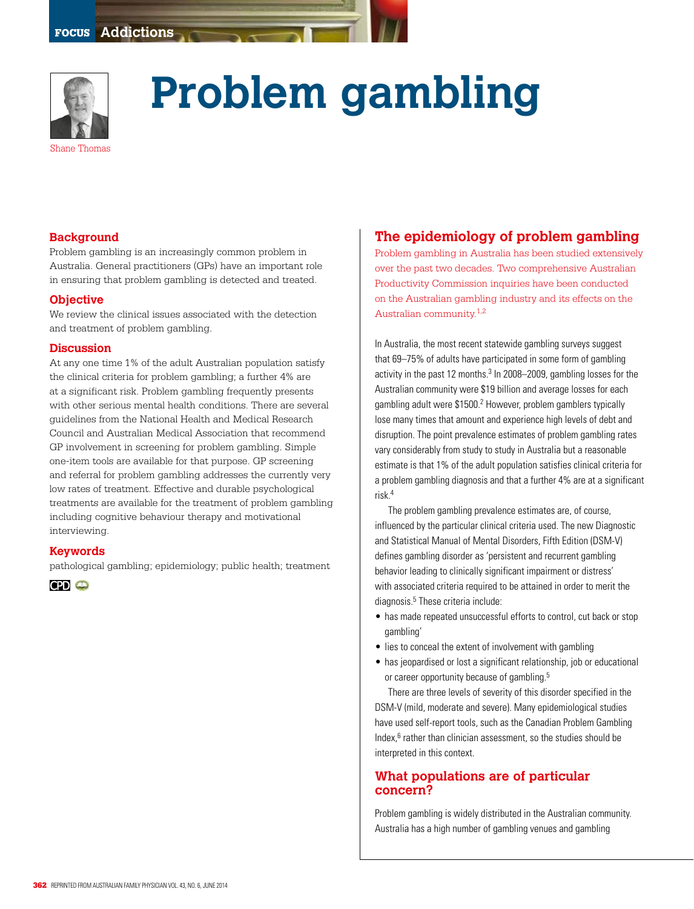

# **Problem gambling**

## **Background**

Problem gambling is an increasingly common problem in Australia. General practitioners (GPs) have an important role in ensuring that problem gambling is detected and treated.

#### **Objective**

We review the clinical issues associated with the detection and treatment of problem gambling.

#### **Discussion**

At any one time 1% of the adult Australian population satisfy the clinical criteria for problem gambling; a further 4% are at a significant risk. Problem gambling frequently presents with other serious mental health conditions. There are several guidelines from the National Health and Medical Research Council and Australian Medical Association that recommend GP involvement in screening for problem gambling. Simple one-item tools are available for that purpose. GP screening and referral for problem gambling addresses the currently very low rates of treatment. Effective and durable psychological treatments are available for the treatment of problem gambling including cognitive behaviour therapy and motivational interviewing.

#### **Keywords**

pathological gambling; epidemiology; public health; treatment

**CPD**  $\bullet$ 

# **The epidemiology of problem gambling**

Problem gambling in Australia has been studied extensively over the past two decades. Two comprehensive Australian Productivity Commission inquiries have been conducted on the Australian gambling industry and its effects on the Australian community.1,2

In Australia, the most recent statewide gambling surveys suggest that 69–75% of adults have participated in some form of gambling activity in the past 12 months.<sup>3</sup> In 2008–2009, gambling losses for the Australian community were \$19 billion and average losses for each gambling adult were \$1500.<sup>2</sup> However, problem gamblers typically lose many times that amount and experience high levels of debt and disruption. The point prevalence estimates of problem gambling rates vary considerably from study to study in Australia but a reasonable estimate is that 1% of the adult population satisfies clinical criteria for a problem gambling diagnosis and that a further 4% are at a significant risk.4

The problem gambling prevalence estimates are, of course, influenced by the particular clinical criteria used. The new Diagnostic and Statistical Manual of Mental Disorders, Fifth Edition (DSM-V) defines gambling disorder as 'persistent and recurrent gambling behavior leading to clinically significant impairment or distress' with associated criteria required to be attained in order to merit the diagnosis.<sup>5</sup> These criteria include:

- has made repeated unsuccessful efforts to control, cut back or stop gambling'
- lies to conceal the extent of involvement with gambling
- has jeopardised or lost a significant relationship, job or educational or career opportunity because of gambling.<sup>5</sup>

There are three levels of severity of this disorder specified in the DSM-V (mild, moderate and severe). Many epidemiological studies have used self-report tools, such as the Canadian Problem Gambling Index,<sup>6</sup> rather than clinician assessment, so the studies should be interpreted in this context.

## **What populations are of particular concern?**

Problem gambling is widely distributed in the Australian community. Australia has a high number of gambling venues and gambling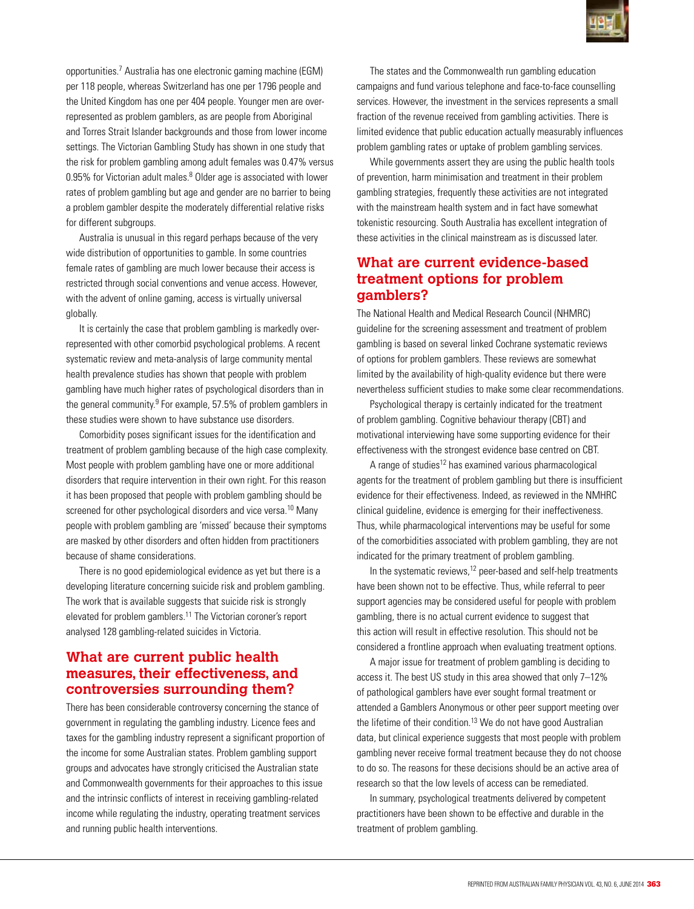

opportunities.7 Australia has one electronic gaming machine (EGM) per 118 people, whereas Switzerland has one per 1796 people and the United Kingdom has one per 404 people. Younger men are overrepresented as problem gamblers, as are people from Aboriginal and Torres Strait Islander backgrounds and those from lower income settings. The Victorian Gambling Study has shown in one study that the risk for problem gambling among adult females was 0.47% versus 0.95% for Victorian adult males.<sup>8</sup> Older age is associated with lower rates of problem gambling but age and gender are no barrier to being a problem gambler despite the moderately differential relative risks for different subgroups.

Australia is unusual in this regard perhaps because of the very wide distribution of opportunities to gamble. In some countries female rates of gambling are much lower because their access is restricted through social conventions and venue access. However, with the advent of online gaming, access is virtually universal globally.

It is certainly the case that problem gambling is markedly overrepresented with other comorbid psychological problems. A recent systematic review and meta-analysis of large community mental health prevalence studies has shown that people with problem gambling have much higher rates of psychological disorders than in the general community.<sup>9</sup> For example, 57.5% of problem gamblers in these studies were shown to have substance use disorders.

Comorbidity poses significant issues for the identification and treatment of problem gambling because of the high case complexity. Most people with problem gambling have one or more additional disorders that require intervention in their own right. For this reason it has been proposed that people with problem gambling should be screened for other psychological disorders and vice versa.<sup>10</sup> Many people with problem gambling are 'missed' because their symptoms are masked by other disorders and often hidden from practitioners because of shame considerations.

There is no good epidemiological evidence as yet but there is a developing literature concerning suicide risk and problem gambling. The work that is available suggests that suicide risk is strongly elevated for problem gamblers.11 The Victorian coroner's report analysed 128 gambling-related suicides in Victoria.

## **What are current public health measures, their effectiveness, and controversies surrounding them?**

There has been considerable controversy concerning the stance of government in regulating the gambling industry. Licence fees and taxes for the gambling industry represent a significant proportion of the income for some Australian states. Problem gambling support groups and advocates have strongly criticised the Australian state and Commonwealth governments for their approaches to this issue and the intrinsic conflicts of interest in receiving gambling-related income while regulating the industry, operating treatment services and running public health interventions.

The states and the Commonwealth run gambling education campaigns and fund various telephone and face-to-face counselling services. However, the investment in the services represents a small fraction of the revenue received from gambling activities. There is limited evidence that public education actually measurably influences problem gambling rates or uptake of problem gambling services.

While governments assert they are using the public health tools of prevention, harm minimisation and treatment in their problem gambling strategies, frequently these activities are not integrated with the mainstream health system and in fact have somewhat tokenistic resourcing. South Australia has excellent integration of these activities in the clinical mainstream as is discussed later.

# **What are current evidence-based treatment options for problem gamblers?**

The National Health and Medical Research Council (NHMRC) guideline for the screening assessment and treatment of problem gambling is based on several linked Cochrane systematic reviews of options for problem gamblers. These reviews are somewhat limited by the availability of high-quality evidence but there were nevertheless sufficient studies to make some clear recommendations.

Psychological therapy is certainly indicated for the treatment of problem gambling. Cognitive behaviour therapy (CBT) and motivational interviewing have some supporting evidence for their effectiveness with the strongest evidence base centred on CBT.

A range of studies<sup>12</sup> has examined various pharmacological agents for the treatment of problem gambling but there is insufficient evidence for their effectiveness. Indeed, as reviewed in the NMHRC clinical guideline, evidence is emerging for their ineffectiveness. Thus, while pharmacological interventions may be useful for some of the comorbidities associated with problem gambling, they are not indicated for the primary treatment of problem gambling.

In the systematic reviews, $12$  peer-based and self-help treatments have been shown not to be effective. Thus, while referral to peer support agencies may be considered useful for people with problem gambling, there is no actual current evidence to suggest that this action will result in effective resolution. This should not be considered a frontline approach when evaluating treatment options.

A major issue for treatment of problem gambling is deciding to access it. The best US study in this area showed that only 7–12% of pathological gamblers have ever sought formal treatment or attended a Gamblers Anonymous or other peer support meeting over the lifetime of their condition.13 We do not have good Australian data, but clinical experience suggests that most people with problem gambling never receive formal treatment because they do not choose to do so. The reasons for these decisions should be an active area of research so that the low levels of access can be remediated.

In summary, psychological treatments delivered by competent practitioners have been shown to be effective and durable in the treatment of problem gambling.